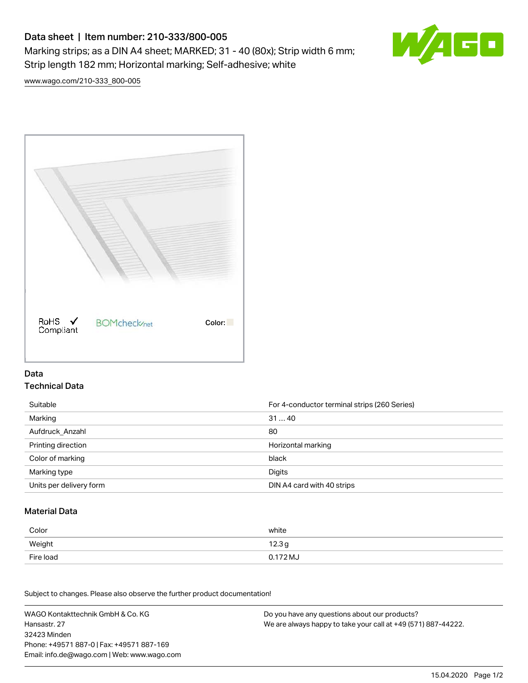# Data sheet | Item number: 210-333/800-005 Marking strips; as a DIN A4 sheet; MARKED; 31 - 40 (80x); Strip width 6 mm; Strip length 182 mm; Horizontal marking; Self-adhesive; white



[www.wago.com/210-333\\_800-005](http://www.wago.com/210-333_800-005)



### Data Technical Data

| Suitable                | For 4-conductor terminal strips (260 Series) |
|-------------------------|----------------------------------------------|
| Marking                 | 3140                                         |
| Aufdruck Anzahl         | 80                                           |
| Printing direction      | Horizontal marking                           |
| Color of marking        | black                                        |
| Marking type            | Digits                                       |
| Units per delivery form | DIN A4 card with 40 strips                   |

#### Material Data

| Color     | white             |
|-----------|-------------------|
| Weight    | 12.3 <sub>g</sub> |
| Fire load | 0.172 MJ          |

Subject to changes. Please also observe the further product documentation!

WAGO Kontakttechnik GmbH & Co. KG Hansastr. 27 32423 Minden Phone: +49571 887-0 | Fax: +49571 887-169 Email: info.de@wago.com | Web: www.wago.com Do you have any questions about our products? We are always happy to take your call at +49 (571) 887-44222.